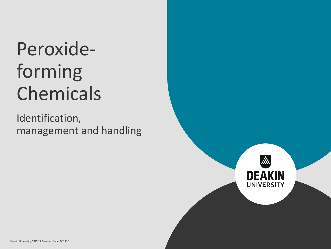# Peroxideforming Chemicals

Identification, management and handling

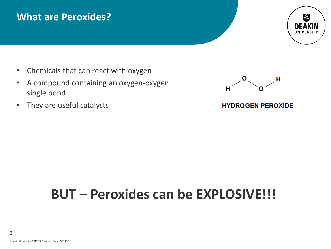### **What are Peroxides?**



- Chemicals that can react with oxygen
- A compound containing an oxygen-oxygen single bond
- They are useful catalysts



#### **HYDROGEN PEROXIDE**

## **BUT – Peroxides can be EXPLOSIVE!!!**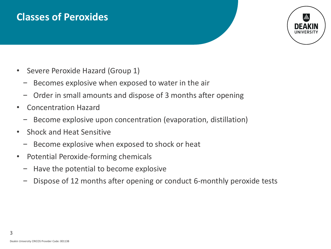## **Classes of Peroxides**



- Severe Peroxide Hazard (Group 1)
	- − Becomes explosive when exposed to water in the air
	- − Order in small amounts and dispose of 3 months after opening
- Concentration Hazard
	- − Become explosive upon concentration (evaporation, distillation)
- Shock and Heat Sensitive
	- − Become explosive when exposed to shock or heat
- Potential Peroxide-forming chemicals
	- − Have the potential to become explosive
	- − Dispose of 12 months after opening or conduct 6-monthly peroxide tests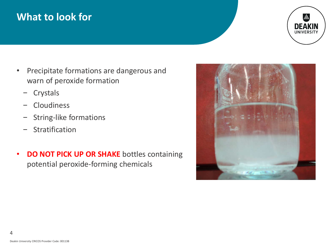## **What to look for**



- Precipitate formations are dangerous and warn of peroxide formation
	- − Crystals
	- − Cloudiness
	- − String-like formations
	- − Stratification
- **DO NOT PICK UP OR SHAKE** bottles containing potential peroxide-forming chemicals

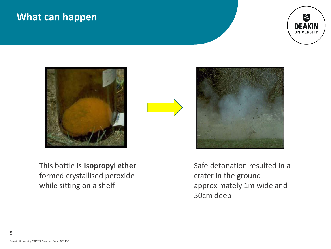### **What can happen**







This bottle is **Isopropyl ether**  formed crystallised peroxide while sitting on a shelf

Safe detonation resulted in a crater in the ground approximately 1m wide and 50cm deep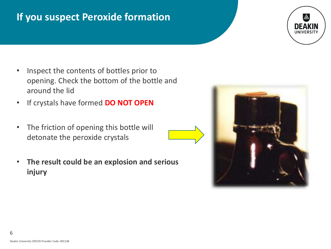## **If you suspect Peroxide formation**

- Inspect the contents of bottles prior to opening. Check the bottom of the bottle and around the lid
- If crystals have formed **DO NOT OPEN**
- The friction of opening this bottle will detonate the peroxide crystals
- **The result could be an explosion and serious injury**



UNIVERSIT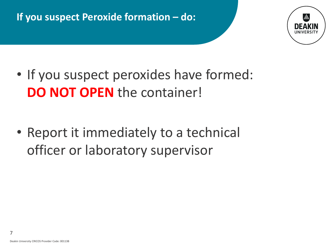## **If you suspect Peroxide formation – do:**



- If you suspect peroxides have formed: **DO NOT OPEN** the container!
- Report it immediately to a technical officer or laboratory supervisor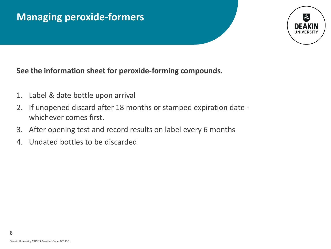## **Managing peroxide-formers**

#### **See the information sheet for peroxide-forming compounds.**

- 1. Label & date bottle upon arrival
- 2. If unopened discard after 18 months or stamped expiration date whichever comes first.
- 3. After opening test and record results on label every 6 months
- 4. Undated bottles to be discarded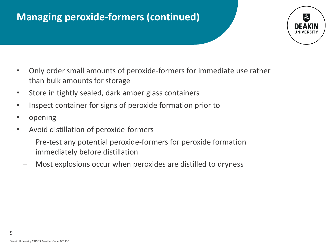## **Managing peroxide-formers (continued)**



- Only order small amounts of peroxide-formers for immediate use rather than bulk amounts for storage
- Store in tightly sealed, dark amber glass containers
- Inspect container for signs of peroxide formation prior to
- opening
- Avoid distillation of peroxide-formers
	- − Pre-test any potential peroxide-formers for peroxide formation immediately before distillation
	- Most explosions occur when peroxides are distilled to dryness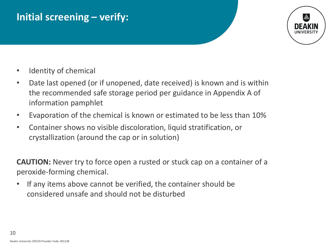## **Initial screening – verify:**



- Identity of chemical
- Date last opened (or if unopened, date received) is known and is within the recommended safe storage period per guidance in Appendix A of information pamphlet
- Evaporation of the chemical is known or estimated to be less than 10%
- Container shows no visible discoloration, liquid stratification, or crystallization (around the cap or in solution)

**CAUTION:** Never try to force open a rusted or stuck cap on a container of a peroxide-forming chemical.

• If any items above cannot be verified, the container should be considered unsafe and should not be disturbed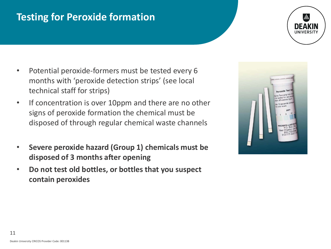## **Testing for Peroxide formation**

- Potential peroxide-formers must be tested every 6 months with 'peroxide detection strips' (see local technical staff for strips)
- If concentration is over 10ppm and there are no other signs of peroxide formation the chemical must be disposed of through regular chemical waste channels
- **Severe peroxide hazard (Group 1) chemicals must be disposed of 3 months after opening**
- **Do not test old bottles, or bottles that you suspect contain peroxides**

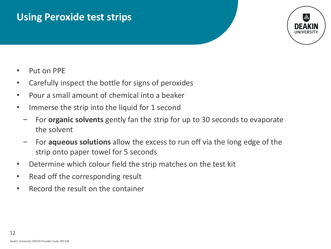### **Using Peroxide test strips**



- Put on PPE
- Carefully inspect the bottle for signs of peroxides
- Pour a small amount of chemical into a beaker
- Immerse the strip into the liquid for 1 second
	- − For **organic solvents** gently fan the strip for up to 30 seconds to evaporate the solvent
	- − For **aqueous solutions** allow the excess to run off via the long edge of the strip onto paper towel for 5 seconds
- Determine which colour field the strip matches on the test kit
- Read off the corresponding result
- Record the result on the container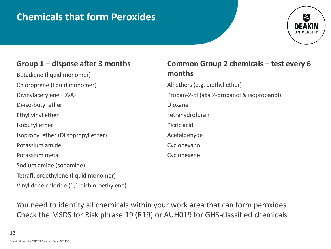## **Chemicals that form Peroxides**

#### **Group 1 – dispose after 3 months**

Butadiene (liquid monomer) Chloroprene (liquid monomer) Divinylacetylene (DVA) Di-iso-butyl ether Ethyl vinyl ether Isobutyl ether Isopropyl ether (Diisopropyl ether) Potassium amide Potassium metal Sodium amide (sodamide) Tetrafluoroethylene (liquid monomer) Vinylidene chloride (1,1-dichloroethylene)

#### **Common Group 2 chemicals – test every 6 months**

All ethers (e.g. diethyl ether) Propan-2-ol (aka 2-propanol & isopropanol) Dioxane Tetrahydrofuran Picric acid Acetaldehyde Cyclohexanol Cyclohexene

You need to identify all chemicals within your work area that can form peroxides. Check the MSDS for Risk phrase 19 (R19) or AUH019 for GHS-classified chemicals